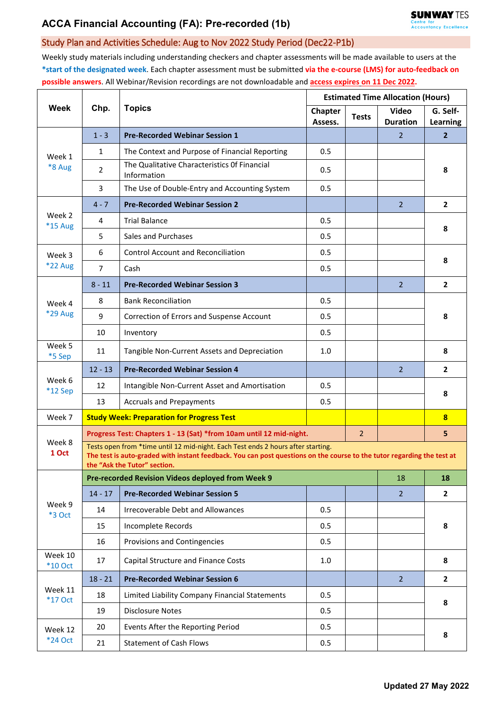## Study Plan and Activities Schedule: Aug to Nov 2022 Study Period (Dec22-P1b)

Weekly study materials including understanding checkers and chapter assessments will be made available to users at the **\*start of the designated week**. Each chapter assessment must be submitted **via the e-course (LMS) for auto-feedback on possible answers**. All Webinar/Revision recordings are not downloadable and **access expires on 11 Dec 2022.**

| Week                     | Chp.                                                                                                                                                                                                                                       | <b>Topics</b>                                                       | <b>Estimated Time Allocation (Hours)</b> |              |                                 |                         |  |  |  |
|--------------------------|--------------------------------------------------------------------------------------------------------------------------------------------------------------------------------------------------------------------------------------------|---------------------------------------------------------------------|------------------------------------------|--------------|---------------------------------|-------------------------|--|--|--|
|                          |                                                                                                                                                                                                                                            |                                                                     | Chapter<br>Assess.                       | <b>Tests</b> | <b>Video</b><br><b>Duration</b> | G. Self-<br>Learning    |  |  |  |
| Week 1<br>*8 Aug         | $1 - 3$                                                                                                                                                                                                                                    | <b>Pre-Recorded Webinar Session 1</b>                               |                                          |              | $\overline{2}$                  | $\overline{2}$          |  |  |  |
|                          | $\mathbf{1}$                                                                                                                                                                                                                               | The Context and Purpose of Financial Reporting                      | 0.5                                      |              |                                 | 8                       |  |  |  |
|                          | $\overline{2}$                                                                                                                                                                                                                             | The Qualitative Characteristics Of Financial<br>Information         | 0.5                                      |              |                                 |                         |  |  |  |
|                          | 3                                                                                                                                                                                                                                          | The Use of Double-Entry and Accounting System                       | 0.5                                      |              |                                 |                         |  |  |  |
| Week 2<br>*15 Aug        | $4 - 7$                                                                                                                                                                                                                                    | <b>Pre-Recorded Webinar Session 2</b>                               |                                          |              | $\overline{2}$                  | $\mathbf{2}$            |  |  |  |
|                          | 4                                                                                                                                                                                                                                          | <b>Trial Balance</b>                                                | 0.5                                      |              |                                 | 8                       |  |  |  |
|                          | 5                                                                                                                                                                                                                                          | Sales and Purchases                                                 | 0.5                                      |              |                                 |                         |  |  |  |
| Week 3<br><b>*22 Aug</b> | 6                                                                                                                                                                                                                                          | <b>Control Account and Reconciliation</b>                           | 0.5                                      |              |                                 | 8                       |  |  |  |
|                          | $\overline{7}$                                                                                                                                                                                                                             | Cash                                                                | 0.5                                      |              |                                 |                         |  |  |  |
| Week 4<br>*29 Aug        | $8 - 11$                                                                                                                                                                                                                                   | <b>Pre-Recorded Webinar Session 3</b>                               |                                          |              | $\overline{2}$                  | $\overline{2}$          |  |  |  |
|                          | 8                                                                                                                                                                                                                                          | <b>Bank Reconciliation</b>                                          | 0.5                                      |              |                                 | 8                       |  |  |  |
|                          | 9                                                                                                                                                                                                                                          | Correction of Errors and Suspense Account                           | 0.5                                      |              |                                 |                         |  |  |  |
|                          | 10                                                                                                                                                                                                                                         | Inventory                                                           | 0.5                                      |              |                                 |                         |  |  |  |
| Week 5<br>*5 Sep         | 11                                                                                                                                                                                                                                         | Tangible Non-Current Assets and Depreciation                        | 1.0                                      |              |                                 | 8                       |  |  |  |
|                          | $12 - 13$                                                                                                                                                                                                                                  | <b>Pre-Recorded Webinar Session 4</b>                               |                                          |              | $\overline{2}$                  | $\overline{2}$          |  |  |  |
| Week 6<br>$*12$ Sep      | 12                                                                                                                                                                                                                                         | Intangible Non-Current Asset and Amortisation                       | 0.5                                      |              |                                 | 8                       |  |  |  |
|                          | 13                                                                                                                                                                                                                                         | <b>Accruals and Prepayments</b>                                     | 0.5                                      |              |                                 |                         |  |  |  |
| Week 7                   |                                                                                                                                                                                                                                            | <b>Study Week: Preparation for Progress Test</b>                    |                                          |              |                                 | $\overline{\mathbf{8}}$ |  |  |  |
| Week 8<br>1 Oct          |                                                                                                                                                                                                                                            | Progress Test: Chapters 1 - 13 (Sat) *from 10am until 12 mid-night. |                                          |              |                                 | 5                       |  |  |  |
|                          | Tests open from *time until 12 mid-night. Each Test ends 2 hours after starting.<br>The test is auto-graded with instant feedback. You can post questions on the course to the tutor regarding the test at<br>the "Ask the Tutor" section. |                                                                     |                                          |              |                                 |                         |  |  |  |
| Week 9<br>*3 Oct         |                                                                                                                                                                                                                                            | Pre-recorded Revision Videos deployed from Week 9                   |                                          |              | 18                              | 18                      |  |  |  |
|                          | $14 - 17$                                                                                                                                                                                                                                  | <b>Pre-Recorded Webinar Session 5</b>                               |                                          |              | 2 <sup>1</sup>                  | $\mathbf{2}$            |  |  |  |
|                          | 14                                                                                                                                                                                                                                         | Irrecoverable Debt and Allowances                                   | 0.5                                      |              |                                 | 8                       |  |  |  |
|                          | 15                                                                                                                                                                                                                                         | Incomplete Records                                                  | 0.5                                      |              |                                 |                         |  |  |  |
|                          | 16                                                                                                                                                                                                                                         | Provisions and Contingencies                                        | 0.5                                      |              |                                 |                         |  |  |  |
| Week 10<br>$*10$ Oct     | 17                                                                                                                                                                                                                                         | Capital Structure and Finance Costs                                 | 1.0                                      |              |                                 | 8                       |  |  |  |
| Week 11<br>*17 Oct       | $18 - 21$                                                                                                                                                                                                                                  | <b>Pre-Recorded Webinar Session 6</b>                               |                                          |              | $\overline{2}$                  | $\mathbf{2}$            |  |  |  |
|                          | 18                                                                                                                                                                                                                                         | Limited Liability Company Financial Statements                      | 0.5                                      |              |                                 | 8                       |  |  |  |
|                          | 19                                                                                                                                                                                                                                         | <b>Disclosure Notes</b>                                             | 0.5                                      |              |                                 |                         |  |  |  |
| Week 12<br>*24 Oct       | 20                                                                                                                                                                                                                                         | Events After the Reporting Period                                   | 0.5                                      |              |                                 | 8                       |  |  |  |
|                          | 21                                                                                                                                                                                                                                         | <b>Statement of Cash Flows</b>                                      | 0.5                                      |              |                                 |                         |  |  |  |